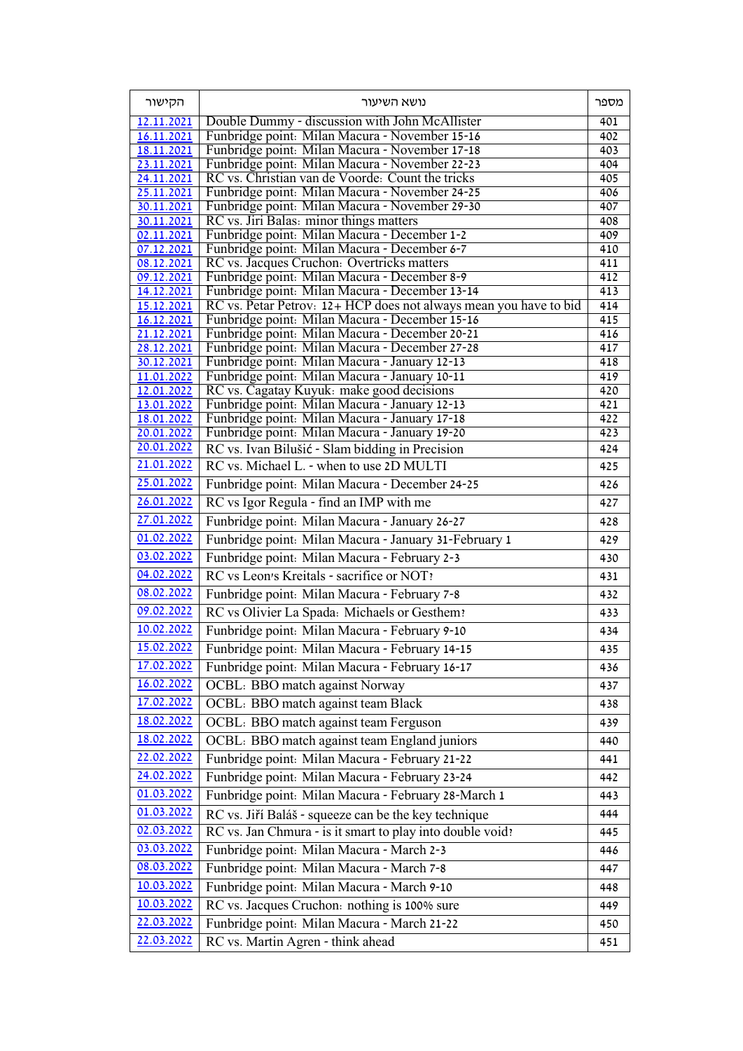| הקישור                   | נושא השיעור                                                                                        | מספר             |
|--------------------------|----------------------------------------------------------------------------------------------------|------------------|
| 12.11.2021               | Double Dummy - discussion with John McAllister                                                     | 401              |
| 16.11.2021               | Funbridge point: Milan Macura - November 15-16                                                     | 402              |
| 18.11.2021               | Funbridge point: Milan Macura - November 17-18                                                     | 403              |
| 23.11.2021               | Funbridge point: Milan Macura - November 22-23<br>RC vs. Christian van de Voorde: Count the tricks | 404              |
| 24.11.2021<br>25.11.2021 | Funbridge point: Milan Macura - November 24-25                                                     | 405<br>406       |
| 30.11.2021               | Funbridge point: Milan Macura - November 29-30                                                     | 407              |
| 30.11.2021               | RC vs. Jiri Balas: minor things matters                                                            | 408              |
| 02.11.2021               | Funbridge point: Milan Macura - December 1-2                                                       | 409              |
| 07.12.2021               | Funbridge point: Milan Macura - December 6-7                                                       | 410              |
| 08.12.2021<br>09.12.2021 | RC vs. Jacques Cruchon: Overtricks matters<br>Funbridge point: Milan Macura - December 8-9         | 411<br>412       |
| 14.12.2021               | Funbridge point: Milan Macura - December 13-14                                                     | 413              |
| 15.12.2021               | RC vs. Petar Petrov: 12+ HCP does not always mean you have to bid                                  | 414              |
| 16.12.2021               | Funbridge point: Milan Macura - December 15-16                                                     | 415              |
| 21.12.2021               | Funbridge point: Milan Macura - December 20-21                                                     | 416              |
| 28.12.2021<br>30.12.2021 | Funbridge point: Milan Macura - December 27-28<br>Funbridge point: Milan Macura - January 12-13    | 417<br>418       |
| 11.01.2022               | Funbridge point: Milan Macura - January 10-11                                                      | 419              |
| 12.01.2022               | RC vs. Cagatay Kuyuk: make good decisions                                                          | 420              |
| 13.01.2022               | Funbridge point: Milan Macura - January 12-13                                                      | $\overline{421}$ |
| 18.01.2022               | Funbridge point: Milan Macura - January 17-18                                                      | 422              |
| 20.01.2022<br>20.01.2022 | Funbridge point: Milan Macura - January 19-20                                                      | 423              |
| 21.01.2022               | RC vs. Ivan Bilušić - Slam bidding in Precision                                                    | 424              |
|                          | RC vs. Michael L. - when to use 2D MULTI                                                           | 425              |
| 25.01.2022               | Funbridge point: Milan Macura - December 24-25                                                     | 426              |
| 26.01.2022               | RC vs Igor Regula - find an IMP with me                                                            | 427              |
| 27.01.2022               | Funbridge point: Milan Macura - January 26-27                                                      | 428              |
| 01.02.2022               | Funbridge point: Milan Macura - January 31-February 1                                              | 429              |
| 03.02.2022               | Funbridge point: Milan Macura - February 2-3                                                       | 430              |
| 04.02.2022               | RC vs Leon's Kreitals - sacrifice or NOT?                                                          | 431              |
| 08.02.2022               | Funbridge point: Milan Macura - February 7-8                                                       | 432              |
| 09.02.2022               | RC vs Olivier La Spada: Michaels or Gesthem?                                                       | 433              |
| 10.02.2022               | Funbridge point: Milan Macura - February 9-10                                                      | 434              |
| 15.02.2022               | Funbridge point: Milan Macura - February 14-15                                                     | 435              |
| 17.02.2022               | Funbridge point: Milan Macura - February 16-17                                                     | 436              |
| 16.02.2022               | OCBL: BBO match against Norway                                                                     | 437              |
| 17.02.2022               | OCBL: BBO match against team Black                                                                 | 438              |
| 18.02.2022               | OCBL: BBO match against team Ferguson                                                              | 439              |
| 18.02.2022               | OCBL: BBO match against team England juniors                                                       | 440              |
| 22.02.2022               | Funbridge point: Milan Macura - February 21-22                                                     | 441              |
| 24.02.2022               | Funbridge point: Milan Macura - February 23-24                                                     | 442              |
| 01.03.2022               | Funbridge point: Milan Macura - February 28-March 1                                                | 443              |
| 01.03.2022               | RC vs. Jiří Baláš - squeeze can be the key technique                                               | 444              |
| 02.03.2022               | RC vs. Jan Chmura - is it smart to play into double void?                                          | 445              |
| 03.03.2022               | Funbridge point: Milan Macura - March 2-3                                                          | 446              |
| 08.03.2022               | Funbridge point: Milan Macura - March 7-8                                                          | 447              |
| 10.03.2022               | Funbridge point: Milan Macura - March 9-10                                                         | 448              |
| 10.03.2022               | RC vs. Jacques Cruchon: nothing is 100% sure                                                       | 449              |
| 22.03.2022               | Funbridge point: Milan Macura - March 21-22                                                        | 450              |
| 22.03.2022               | RC vs. Martin Agren - think ahead                                                                  | 451              |